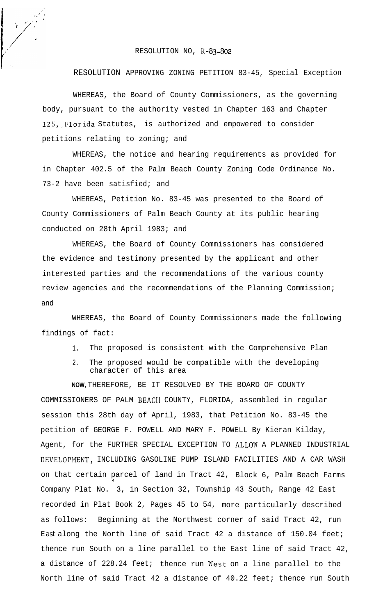## RESOLUTION NO, K-83-802

## RESOLUTION APPROVING ZONING PETITION 83-45, Special Exception

WHEREAS, the Board of County Commissioners, as the governing body, pursuant to the authority vested in Chapter 163 and Chapter 125, Florida Statutes, is authorized and empowered to consider petitions relating to zoning; and

WHEREAS, the notice and hearing requirements as provided for in Chapter 402.5 of the Palm Beach County Zoning Code Ordinance No. 73-2 have been satisfied; and

WHEREAS, Petition No. 83-45 was presented to the Board of County Commissioners of Palm Beach County at its public hearing conducted on 28th April 1983; and

WHEREAS, the Board of County Commissioners has considered the evidence and testimony presented by the applicant and other interested parties and the recommendations of the various county review agencies and the recommendations of the Planning Commission; and

WHEREAS, the Board of County Commissioners made the following findings of fact:

- 1. The proposed is consistent with the Comprehensive Plan
- 2. The proposed would be compatible with the developing character of this area

**NOW,** THEREFORE, BE IT RESOLVED BY THE BOARD OF COUNTY COMMISSIONERS OF PALM BEACfl COUNTY, FLORIDA, assembled in regular session this 28th day of April, 1983, that Petition No. 83-45 the petition of GEORGE F. POWELL AND MARY F. POWELL By Kieran Kilday, Agent, for the FURTHER SPECIAL EXCEPTION TO ALLO!V A PLANNED INDUSTRIAL DEVELOPMENT, INCLUDING GASOLINE PUMP ISLAND FACILITIES AND A CAR WASH on that certain parcel of land in Tract 42, Block 6, Palm Beach Farms  $\mathbf{1}$ Company Plat No. 3, in Section 32, Township 43 South, Range 42 East recorded in Plat Book 2, Pages 45 to 54, more particularly described as follows: Beginning at the Northwest corner of said Tract 42, run East along the North line of said Tract 42 a distance of 150.04 feet; thence run South on a line parallel to the East line of said Tract 42, a distance of 228.24 feet; thence run West on a line parallel to the North line of said Tract 42 a distance of 40.22 feet; thence run South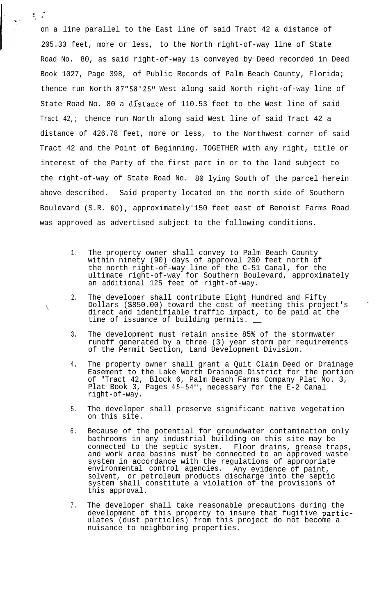on a line parallel to the East line of said Tract 42 a distance of<br>205.33 feet, more or less, to the North right-of-way line of State<br>**Property State** 205.33 feet, more or less, to the North right-of-way line of State Road No. 80, as said right-of-way is conveyed by Deed recorded in Deed Book 1027, Page 398, of Public Records of Palm Beach County, Florida; thence run North 87°58'25" West along said North right-of-way line of State Road No. 80 a distance of 110.53 feet to the West line of said Tract 42,; thence run North along said West line of said Tract 42 a distance of 426.78 feet, more or less, to the Northwest corner of said Tract 42 and the Point of Beginning. TOGETHER with any right, title or interest of the Party of the first part in or to the land subject to the right-of-way of State Road No. 80 lying South of the parcel herein above described. Said property located on the north side of Southern Boulevard (S.R. 80), approximately'150 feet east of Benoist Farms Road was approved as advertised subject to the following conditions.

1..

1 ' . . .",.~ <sup>a</sup>

 $\mathcal{L}_{\mathcal{L}}$ 

- 1. The property owner shall convey to Palm Beach County within ninety (90) days of approval 200 feet north of the north right-of-way line of the C-51 Canal, for the ultimate right-of-way for Southern Boulevard, approximately an additional 125 feet of right-of-way.
- 2. The developer shall contribute Eight Hundred and Fifty Dollars (\$850.00) toward the cost of meeting this project's direct and identifiable traffic impact, to be paid at the time of issuance of building permits.
- 3. The development must retain onsite 85% of the stormwater runoff generated by a three (3) year storm per requirements of the Permit Section, Land Development Division.
- 4. The property owner shall grant a Quit Claim Deed or Drainage Easement to the Lake Worth Drainage District for the portion of "Tract 42, Block 6, Palm Beach Farms Company Plat No. 3, Plat Book 3, Pages 45-54", necessary for the E-2 Canal right-of-way.
- 5. The developer shall preserve significant native vegetation on this site.
- 6. Because of the potential for groundwater contamination only bathrooms in any industrial building on this site may be connected to the septic system. Floor drains, grease traps, and work area basins must be connected to an approved waste system in accordance with the regulations of appropriate environmental control agencies. Any evidence of paint, solvent, or petroleum products discharge into the septic system shall constitute a violation of the provisions of this approval.
- 7. The developer shall take reasonable precautions during the development of this property to insure that fugitive particulates (dust particles) from this project do not become a nuisance to neighboring properties.